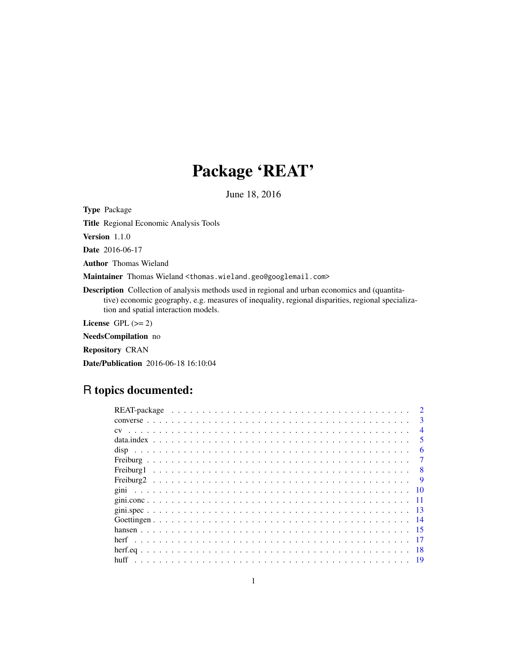# Package 'REAT'

June 18, 2016

Type Package

Title Regional Economic Analysis Tools

Version 1.1.0

Date 2016-06-17

Author Thomas Wieland

Maintainer Thomas Wieland <thomas.wieland.geo@googlemail.com>

Description Collection of analysis methods used in regional and urban economics and (quantitative) economic geography, e.g. measures of inequality, regional disparities, regional specialization and spatial interaction models.

License GPL  $(>= 2)$ 

NeedsCompilation no

Repository CRAN

Date/Publication 2016-06-18 16:10:04

## R topics documented:

| $\mathbf{3}$             |
|--------------------------|
| $\boldsymbol{\varDelta}$ |
| 5                        |
|                          |
|                          |
|                          |
| <b>Q</b>                 |
|                          |
|                          |
| -13                      |
|                          |
|                          |
|                          |
|                          |
|                          |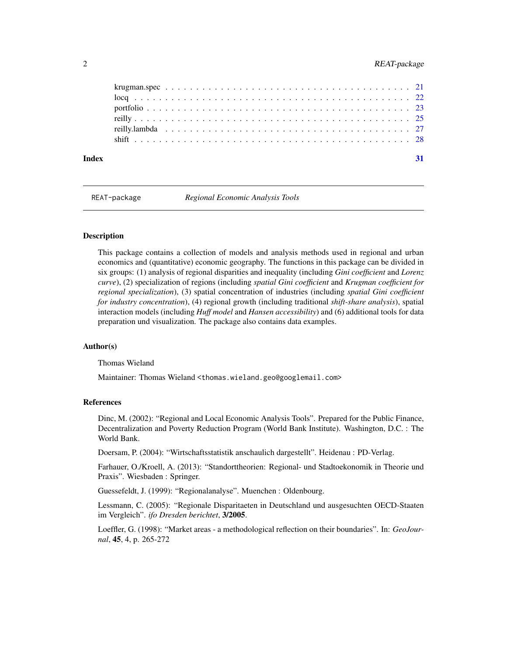#### <span id="page-1-0"></span>2 REAT-package

| Index |  |  |  |  |
|-------|--|--|--|--|
|       |  |  |  |  |
|       |  |  |  |  |
|       |  |  |  |  |
|       |  |  |  |  |
|       |  |  |  |  |
|       |  |  |  |  |

REAT-package *Regional Economic Analysis Tools*

#### **Description**

This package contains a collection of models and analysis methods used in regional and urban economics and (quantitative) economic geography. The functions in this package can be divided in six groups: (1) analysis of regional disparities and inequality (including *Gini coefficient* and *Lorenz curve*), (2) specialization of regions (including *spatial Gini coefficient* and *Krugman coefficient for regional specialization*), (3) spatial concentration of industries (including *spatial Gini coefficient for industry concentration*), (4) regional growth (including traditional *shift-share analysis*), spatial interaction models (including *Huff model* and *Hansen accessibility*) and (6) additional tools for data preparation und visualization. The package also contains data examples.

#### Author(s)

Thomas Wieland

Maintainer: Thomas Wieland <thomas.wieland.geo@googlemail.com>

#### References

Dinc, M. (2002): "Regional and Local Economic Analysis Tools". Prepared for the Public Finance, Decentralization and Poverty Reduction Program (World Bank Institute). Washington, D.C. : The World Bank.

Doersam, P. (2004): "Wirtschaftsstatistik anschaulich dargestellt". Heidenau : PD-Verlag.

Farhauer, O./Kroell, A. (2013): "Standorttheorien: Regional- und Stadtoekonomik in Theorie und Praxis". Wiesbaden : Springer.

Guessefeldt, J. (1999): "Regionalanalyse". Muenchen : Oldenbourg.

Lessmann, C. (2005): "Regionale Disparitaeten in Deutschland und ausgesuchten OECD-Staaten im Vergleich". *ifo Dresden berichtet*, 3/2005.

Loeffler, G. (1998): "Market areas - a methodological reflection on their boundaries". In: *GeoJournal*, 45, 4, p. 265-272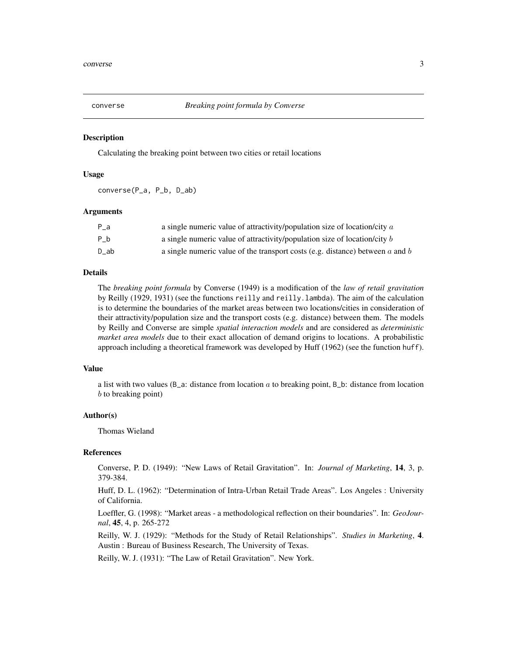<span id="page-2-1"></span><span id="page-2-0"></span>

Calculating the breaking point between two cities or retail locations

#### Usage

converse(P\_a, P\_b, D\_ab)

#### Arguments

| P a  | a single numeric value of attractivity/population size of location/city a         |
|------|-----------------------------------------------------------------------------------|
| P b  | a single numeric value of attractivity/population size of location/city $b$       |
| D ab | a single numeric value of the transport costs (e.g. distance) between $a$ and $b$ |

#### Details

The *breaking point formula* by Converse (1949) is a modification of the *law of retail gravitation* by Reilly (1929, 1931) (see the functions reilly and reilly.lambda). The aim of the calculation is to determine the boundaries of the market areas between two locations/cities in consideration of their attractivity/population size and the transport costs (e.g. distance) between them. The models by Reilly and Converse are simple *spatial interaction models* and are considered as *deterministic market area models* due to their exact allocation of demand origins to locations. A probabilistic approach including a theoretical framework was developed by Huff (1962) (see the function huff).

#### Value

a list with two values ( $B_a$ a: distance from location a to breaking point,  $B_b$ : distance from location b to breaking point)

#### Author(s)

Thomas Wieland

#### References

Converse, P. D. (1949): "New Laws of Retail Gravitation". In: *Journal of Marketing*, 14, 3, p. 379-384.

Huff, D. L. (1962): "Determination of Intra-Urban Retail Trade Areas". Los Angeles : University of California.

Loeffler, G. (1998): "Market areas - a methodological reflection on their boundaries". In: *GeoJournal*, 45, 4, p. 265-272

Reilly, W. J. (1929): "Methods for the Study of Retail Relationships". *Studies in Marketing*, 4. Austin : Bureau of Business Research, The University of Texas.

Reilly, W. J. (1931): "The Law of Retail Gravitation". New York.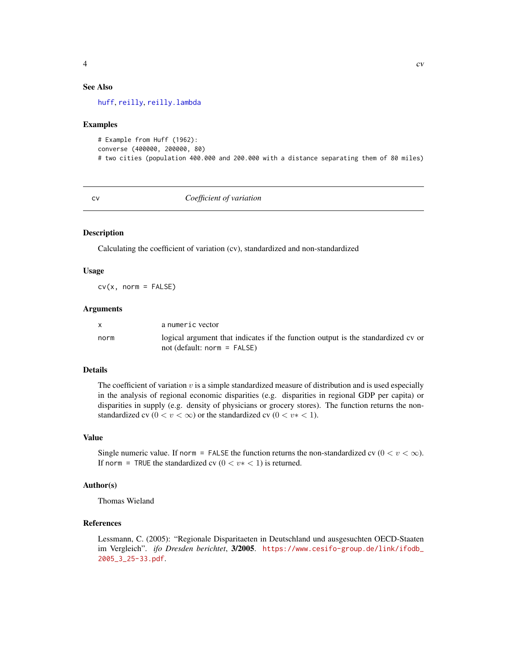#### <span id="page-3-0"></span>See Also

[huff](#page-18-1), [reilly](#page-24-1), [reilly.lambda](#page-26-1)

#### Examples

```
# Example from Huff (1962):
converse (400000, 200000, 80)
# two cities (population 400.000 and 200.000 with a distance separating them of 80 miles)
```
<span id="page-3-1"></span>

cv *Coefficient of variation*

#### Description

Calculating the coefficient of variation (cv), standardized and non-standardized

#### Usage

 $cv(x, norm = FALSE)$ 

#### Arguments

| $\mathbf{x}$ | a numeric vector                                                                                                   |
|--------------|--------------------------------------------------------------------------------------------------------------------|
| norm         | logical argument that indicates if the function output is the standardized cy or<br>not (default: norm = $FALSE$ ) |

#### Details

The coefficient of variation  $v$  is a simple standardized measure of distribution and is used especially in the analysis of regional economic disparities (e.g. disparities in regional GDP per capita) or disparities in supply (e.g. density of physicians or grocery stores). The function returns the nonstandardized cv (0 <  $v < \infty$ ) or the standardized cv (0 <  $v* < 1$ ).

#### Value

Single numeric value. If norm = FALSE the function returns the non-standardized cv  $(0 < v < \infty)$ . If norm = TRUE the standardized cv  $(0 < v* < 1)$  is returned.

#### Author(s)

Thomas Wieland

#### References

Lessmann, C. (2005): "Regionale Disparitaeten in Deutschland und ausgesuchten OECD-Staaten im Vergleich". *ifo Dresden berichtet*, 3/2005. [https://www.cesifo-group.de/link/ifodb\\_](https://www.cesifo-group.de/link/ifodb_2005_3_25-33.pdf) [2005\\_3\\_25-33.pdf](https://www.cesifo-group.de/link/ifodb_2005_3_25-33.pdf).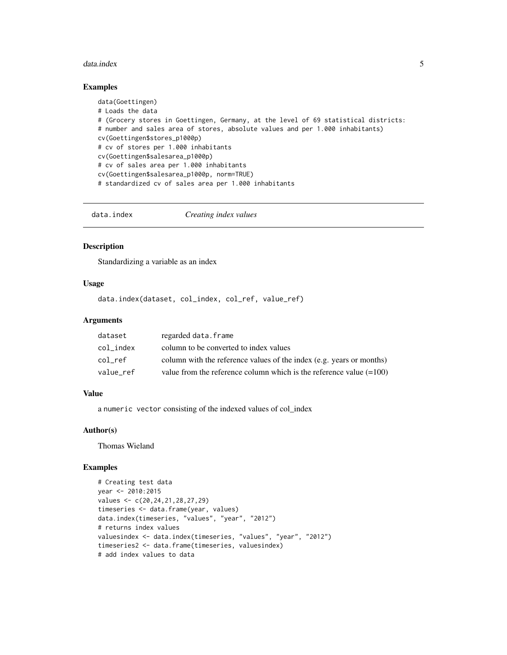#### <span id="page-4-0"></span>data.index 5

#### Examples

```
data(Goettingen)
# Loads the data
# (Grocery stores in Goettingen, Germany, at the level of 69 statistical districts:
# number and sales area of stores, absolute values and per 1.000 inhabitants)
cv(Goettingen$stores_p1000p)
# cv of stores per 1.000 inhabitants
cv(Goettingen$salesarea_p1000p)
# cv of sales area per 1.000 inhabitants
cv(Goettingen$salesarea_p1000p, norm=TRUE)
# standardized cv of sales area per 1.000 inhabitants
```
data.index *Creating index values*

#### Description

Standardizing a variable as an index

#### Usage

data.index(dataset, col\_index, col\_ref, value\_ref)

#### Arguments

| dataset   | regarded data.frame                                                   |
|-----------|-----------------------------------------------------------------------|
| col index | column to be converted to index values                                |
| col ref   | column with the reference values of the index (e.g. years or months)  |
| value ref | value from the reference column which is the reference value $(=100)$ |

#### Value

a numeric vector consisting of the indexed values of col\_index

#### Author(s)

Thomas Wieland

```
# Creating test data
year <- 2010:2015
values <- c(20,24,21,28,27,29)
timeseries <- data.frame(year, values)
data.index(timeseries, "values", "year", "2012")
# returns index values
valuesindex <- data.index(timeseries, "values", "year", "2012")
timeseries2 <- data.frame(timeseries, valuesindex)
# add index values to data
```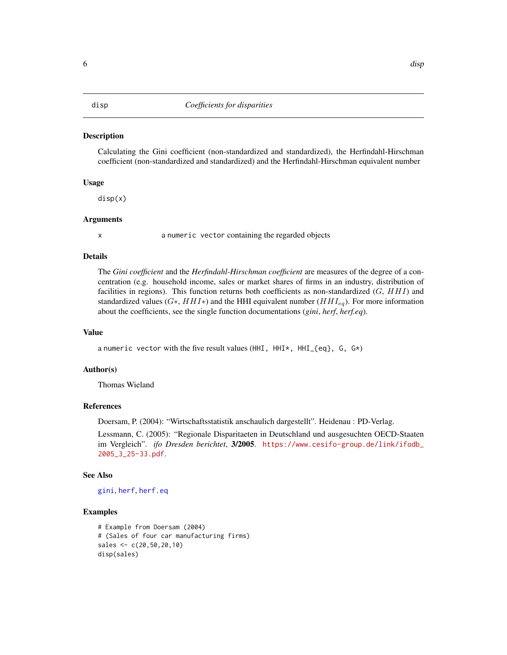<span id="page-5-0"></span>Calculating the Gini coefficient (non-standardized and standardized), the Herfindahl-Hirschman coefficient (non-standardized and standardized) and the Herfindahl-Hirschman equivalent number

#### Usage

disp(x)

#### Arguments

x a numeric vector containing the regarded objects

#### Details

The *Gini coefficient* and the *Herfindahl-Hirschman coefficient* are measures of the degree of a concentration (e.g. household income, sales or market shares of firms in an industry, distribution of facilities in regions). This function returns both coefficients as non-standardized  $(G, HHI)$  and standardized values ( $G<sub>*</sub>$ , HHI<sup>\*</sup>) and the HHI equivalent number ( $HHI<sub>eq</sub>$ ). For more information about the coefficients, see the single function documentations (*gini*, *herf*, *herf.eq*).

#### Value

a numeric vector with the five result values (HHI,  $HHI*, HHI_{eq}, G, G*)$ 

#### Author(s)

Thomas Wieland

#### References

Doersam, P. (2004): "Wirtschaftsstatistik anschaulich dargestellt". Heidenau : PD-Verlag.

Lessmann, C. (2005): "Regionale Disparitaeten in Deutschland und ausgesuchten OECD-Staaten im Vergleich". *ifo Dresden berichtet*, 3/2005. [https://www.cesifo-group.de/link/ifodb\\_](https://www.cesifo-group.de/link/ifodb_2005_3_25-33.pdf) [2005\\_3\\_25-33.pdf](https://www.cesifo-group.de/link/ifodb_2005_3_25-33.pdf).

#### See Also

[gini](#page-9-1), [herf](#page-16-1), [herf.eq](#page-17-1)

```
# Example from Doersam (2004)
# (Sales of four car manufacturing firms)
sales <- c(20,50,20,10)
disp(sales)
```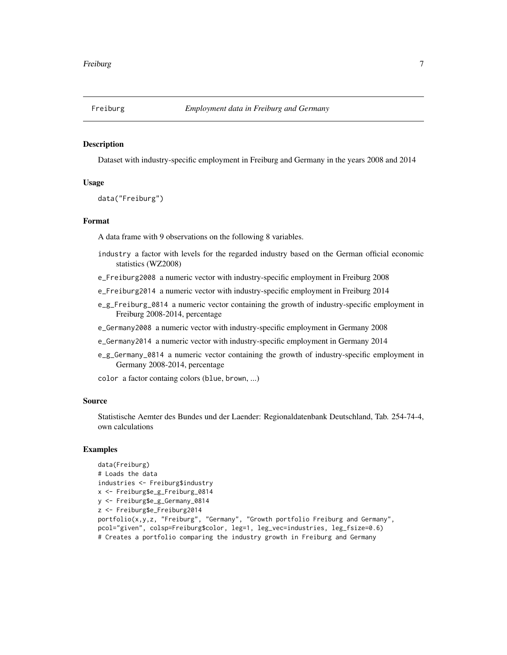<span id="page-6-0"></span>

Dataset with industry-specific employment in Freiburg and Germany in the years 2008 and 2014

#### Usage

data("Freiburg")

#### Format

A data frame with 9 observations on the following 8 variables.

- industry a factor with levels for the regarded industry based on the German official economic statistics (WZ2008)
- e\_Freiburg2008 a numeric vector with industry-specific employment in Freiburg 2008
- e\_Freiburg2014 a numeric vector with industry-specific employment in Freiburg 2014
- e\_g\_Freiburg\_0814 a numeric vector containing the growth of industry-specific employment in Freiburg 2008-2014, percentage
- e\_Germany2008 a numeric vector with industry-specific employment in Germany 2008
- e\_Germany2014 a numeric vector with industry-specific employment in Germany 2014
- e\_g\_Germany\_0814 a numeric vector containing the growth of industry-specific employment in Germany 2008-2014, percentage

color a factor containg colors (blue, brown, ...)

#### Source

Statistische Aemter des Bundes und der Laender: Regionaldatenbank Deutschland, Tab. 254-74-4, own calculations

```
data(Freiburg)
# Loads the data
industries <- Freiburg$industry
x <- Freiburg$e_g_Freiburg_0814
y <- Freiburg$e_g_Germany_0814
z <- Freiburg$e_Freiburg2014
portfolio(x,y,z, "Freiburg", "Germany", "Growth portfolio Freiburg and Germany",
pcol="given", colsp=Freiburg$color, leg=1, leg_vec=industries, leg_fsize=0.6)
# Creates a portfolio comparing the industry growth in Freiburg and Germany
```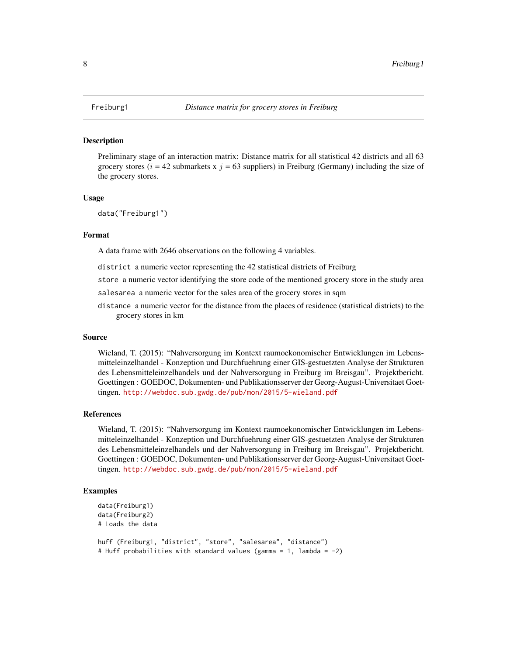<span id="page-7-0"></span>

Preliminary stage of an interaction matrix: Distance matrix for all statistical 42 districts and all 63 grocery stores ( $i = 42$  submarkets x  $j = 63$  suppliers) in Freiburg (Germany) including the size of the grocery stores.

#### Usage

```
data("Freiburg1")
```
#### Format

A data frame with 2646 observations on the following 4 variables.

district a numeric vector representing the 42 statistical districts of Freiburg

store a numeric vector identifying the store code of the mentioned grocery store in the study area

salesarea a numeric vector for the sales area of the grocery stores in sqm

distance a numeric vector for the distance from the places of residence (statistical districts) to the grocery stores in km

#### Source

Wieland, T. (2015): "Nahversorgung im Kontext raumoekonomischer Entwicklungen im Lebensmitteleinzelhandel - Konzeption und Durchfuehrung einer GIS-gestuetzten Analyse der Strukturen des Lebensmitteleinzelhandels und der Nahversorgung in Freiburg im Breisgau". Projektbericht. Goettingen : GOEDOC, Dokumenten- und Publikationsserver der Georg-August-Universitaet Goettingen. <http://webdoc.sub.gwdg.de/pub/mon/2015/5-wieland.pdf>

#### References

Wieland, T. (2015): "Nahversorgung im Kontext raumoekonomischer Entwicklungen im Lebensmitteleinzelhandel - Konzeption und Durchfuehrung einer GIS-gestuetzten Analyse der Strukturen des Lebensmitteleinzelhandels und der Nahversorgung in Freiburg im Breisgau". Projektbericht. Goettingen : GOEDOC, Dokumenten- und Publikationsserver der Georg-August-Universitaet Goettingen. <http://webdoc.sub.gwdg.de/pub/mon/2015/5-wieland.pdf>

```
data(Freiburg1)
data(Freiburg2)
# Loads the data
huff (Freiburg1, "district", "store", "salesarea", "distance")
# Huff probabilities with standard values (gamma = 1, lambda = -2)
```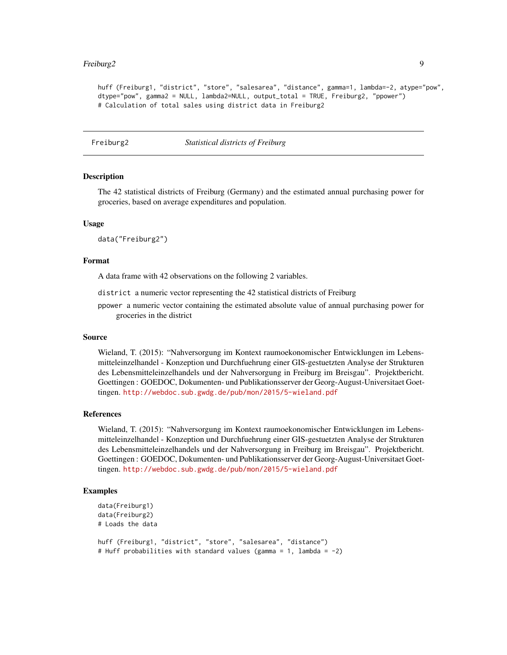#### <span id="page-8-0"></span>Freiburg2 9

huff (Freiburg1, "district", "store", "salesarea", "distance", gamma=1, lambda=-2, atype="pow", dtype="pow", gamma2 = NULL, lambda2=NULL, output\_total = TRUE, Freiburg2, "ppower") # Calculation of total sales using district data in Freiburg2

Freiburg2 *Statistical districts of Freiburg*

#### **Description**

The 42 statistical districts of Freiburg (Germany) and the estimated annual purchasing power for groceries, based on average expenditures and population.

#### Usage

data("Freiburg2")

#### Format

A data frame with 42 observations on the following 2 variables.

district a numeric vector representing the 42 statistical districts of Freiburg

ppower a numeric vector containing the estimated absolute value of annual purchasing power for groceries in the district

#### Source

Wieland, T. (2015): "Nahversorgung im Kontext raumoekonomischer Entwicklungen im Lebensmitteleinzelhandel - Konzeption und Durchfuehrung einer GIS-gestuetzten Analyse der Strukturen des Lebensmitteleinzelhandels und der Nahversorgung in Freiburg im Breisgau". Projektbericht. Goettingen : GOEDOC, Dokumenten- und Publikationsserver der Georg-August-Universitaet Goettingen. <http://webdoc.sub.gwdg.de/pub/mon/2015/5-wieland.pdf>

#### References

Wieland, T. (2015): "Nahversorgung im Kontext raumoekonomischer Entwicklungen im Lebensmitteleinzelhandel - Konzeption und Durchfuehrung einer GIS-gestuetzten Analyse der Strukturen des Lebensmitteleinzelhandels und der Nahversorgung in Freiburg im Breisgau". Projektbericht. Goettingen : GOEDOC, Dokumenten- und Publikationsserver der Georg-August-Universitaet Goettingen. <http://webdoc.sub.gwdg.de/pub/mon/2015/5-wieland.pdf>

```
data(Freiburg1)
data(Freiburg2)
# Loads the data
huff (Freiburg1, "district", "store", "salesarea", "distance")
# Huff probabilities with standard values (gamma = 1, lambda = -2)
```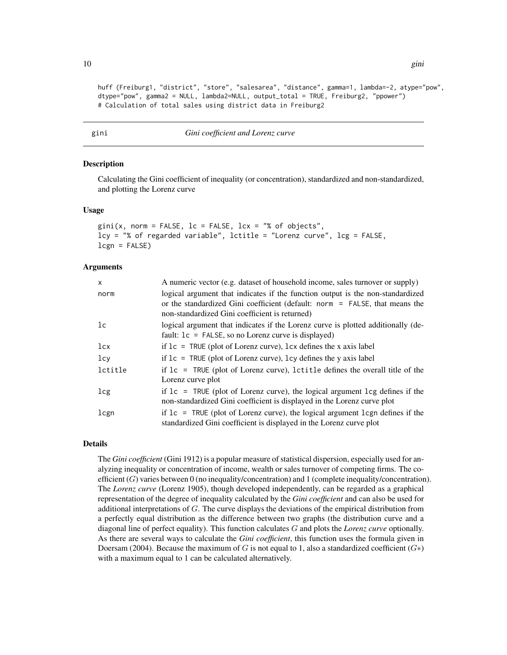huff (Freiburg1, "district", "store", "salesarea", "distance", gamma=1, lambda=-2, atype="pow", dtype="pow", gamma2 = NULL, lambda2=NULL, output\_total = TRUE, Freiburg2, "ppower") # Calculation of total sales using district data in Freiburg2

#### <span id="page-9-1"></span>gini *Gini coefficient and Lorenz curve*

#### Description

Calculating the Gini coefficient of inequality (or concentration), standardized and non-standardized, and plotting the Lorenz curve

#### Usage

```
gini(x, norm = FALSE, lc = FALSE, lcx = "% of objects",
lcy = "% of regarded variable", lctitle = "Lorenz curve", lcg = FALSE,
lcgn = FALSE)
```
#### Arguments

| $\mathsf{x}$ | A numeric vector (e.g. dataset of household income, sales turnover or supply)                                                                                                                                   |
|--------------|-----------------------------------------------------------------------------------------------------------------------------------------------------------------------------------------------------------------|
| norm         | logical argument that indicates if the function output is the non-standardized<br>or the standardized Gini coefficient (default: norm = FALSE, that means the<br>non-standardized Gini coefficient is returned) |
| lc           | logical argument that indicates if the Lorenz curve is plotted additionally (de-<br>fault: $lc = FALSE$ , so no Lorenz curve is displayed)                                                                      |
| lcx          | if $lc$ = TRUE (plot of Lorenz curve), $lcx$ defines the x axis label                                                                                                                                           |
| 1cy          | if $lc$ = TRUE (plot of Lorenz curve), $lcy$ defines the y axis label                                                                                                                                           |
| lctitle      | if $lc = TRUE$ (plot of Lorenz curve), lotitle defines the overall title of the<br>Lorenz curve plot                                                                                                            |
| lcg          | if $1c = \text{TRUE}$ (plot of Lorenz curve), the logical argument $\log$ defines if the<br>non-standardized Gini coefficient is displayed in the Lorenz curve plot                                             |
| $l$ cgn      | if $lc$ = TRUE (plot of Lorenz curve), the logical argument $lcpn$ defines if the<br>standardized Gini coefficient is displayed in the Lorenz curve plot                                                        |

#### Details

The *Gini coefficient* (Gini 1912) is a popular measure of statistical dispersion, especially used for analyzing inequality or concentration of income, wealth or sales turnover of competing firms. The coefficient  $(G)$  varies between 0 (no inequality/concentration) and 1 (complete inequality/concentration). The *Lorenz curve* (Lorenz 1905), though developed independently, can be regarded as a graphical representation of the degree of inequality calculated by the *Gini coefficient* and can also be used for additional interpretations of G. The curve displays the deviations of the empirical distribution from a perfectly equal distribution as the difference between two graphs (the distribution curve and a diagonal line of perfect equality). This function calculates G and plots the *Lorenz curve* optionally. As there are several ways to calculate the *Gini coefficient*, this function uses the formula given in Doersam (2004). Because the maximum of G is not equal to 1, also a standardized coefficient  $(G*)$ with a maximum equal to 1 can be calculated alternatively.

<span id="page-9-0"></span>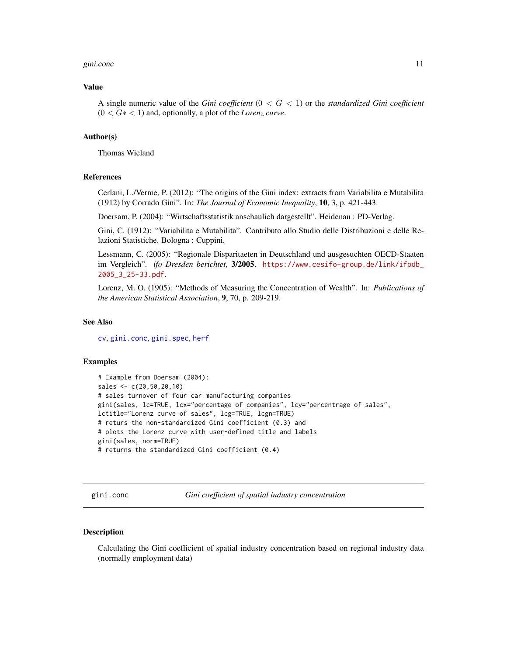#### <span id="page-10-0"></span>gini.conc 11

#### Value

A single numeric value of the *Gini coefficient* (0 < G < 1) or the *standardized Gini coefficient* (0 < G∗ < 1) and, optionally, a plot of the *Lorenz curve*.

#### Author(s)

Thomas Wieland

#### References

Cerlani, L./Verme, P. (2012): "The origins of the Gini index: extracts from Variabilita e Mutabilita (1912) by Corrado Gini". In: *The Journal of Economic Inequality*, 10, 3, p. 421-443.

Doersam, P. (2004): "Wirtschaftsstatistik anschaulich dargestellt". Heidenau : PD-Verlag.

Gini, C. (1912): "Variabilita e Mutabilita". Contributo allo Studio delle Distribuzioni e delle Relazioni Statistiche. Bologna : Cuppini.

Lessmann, C. (2005): "Regionale Disparitaeten in Deutschland und ausgesuchten OECD-Staaten im Vergleich". *ifo Dresden berichtet*, 3/2005. [https://www.cesifo-group.de/link/ifodb\\_](https://www.cesifo-group.de/link/ifodb_2005_3_25-33.pdf) [2005\\_3\\_25-33.pdf](https://www.cesifo-group.de/link/ifodb_2005_3_25-33.pdf).

Lorenz, M. O. (1905): "Methods of Measuring the Concentration of Wealth". In: *Publications of the American Statistical Association*, 9, 70, p. 209-219.

#### See Also

[cv](#page-3-1), [gini.conc](#page-10-1), [gini.spec](#page-12-1), [herf](#page-16-1)

#### Examples

```
# Example from Doersam (2004):
sales <- c(20,50,20,10)
# sales turnover of four car manufacturing companies
gini(sales, lc=TRUE, lcx="percentage of companies", lcy="percentrage of sales",
lctitle="Lorenz curve of sales", lcg=TRUE, lcgn=TRUE)
# returs the non-standardized Gini coefficient (0.3) and
# plots the Lorenz curve with user-defined title and labels
gini(sales, norm=TRUE)
# returns the standardized Gini coefficient (0.4)
```
<span id="page-10-1"></span>gini.conc *Gini coefficient of spatial industry concentration*

#### Description

Calculating the Gini coefficient of spatial industry concentration based on regional industry data (normally employment data)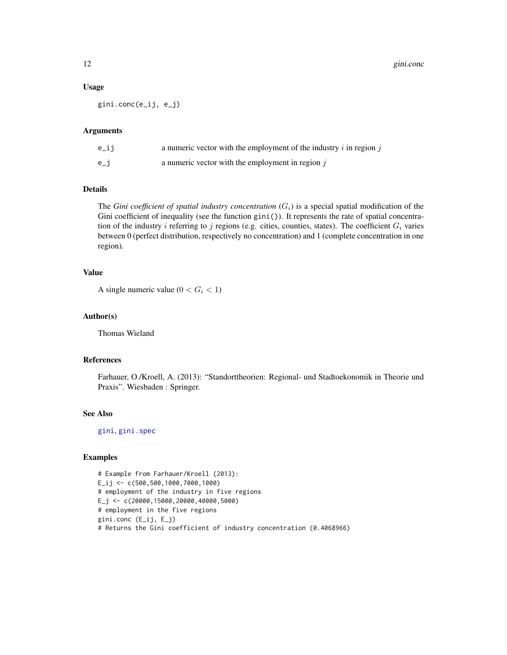<span id="page-11-0"></span>12 gini.conc

#### Usage

gini.conc(e\_ij, e\_j)

#### Arguments

| e_ij  | a numeric vector with the employment of the industry $i$ in region $j$ |
|-------|------------------------------------------------------------------------|
| $e_i$ | a numeric vector with the employment in region $j$                     |

#### Details

The *Gini coefficient of spatial industry concentration*  $(G_i)$  is a special spatial modification of the Gini coefficient of inequality (see the function gini()). It represents the rate of spatial concentration of the industry i referring to j regions (e.g. cities, counties, states). The coefficient  $G_i$  varies between 0 (perfect distribution, respectively no concentration) and 1 (complete concentration in one region).

#### Value

A single numeric value  $(0 < G<sub>i</sub> < 1)$ 

#### Author(s)

Thomas Wieland

#### References

Farhauer, O./Kroell, A. (2013): "Standorttheorien: Regional- und Stadtoekonomik in Theorie und Praxis". Wiesbaden : Springer.

#### See Also

[gini](#page-9-1), [gini.spec](#page-12-1)

#### Examples

# Example from Farhauer/Kroell (2013): E\_ij <- c(500,500,1000,7000,1000) # employment of the industry in five regions  $E_j$  <- c(20000,15000,20000,40000,5000) # employment in the five regions gini.conc (E\_ij, E\_j) # Returns the Gini coefficient of industry concentration (0.4068966)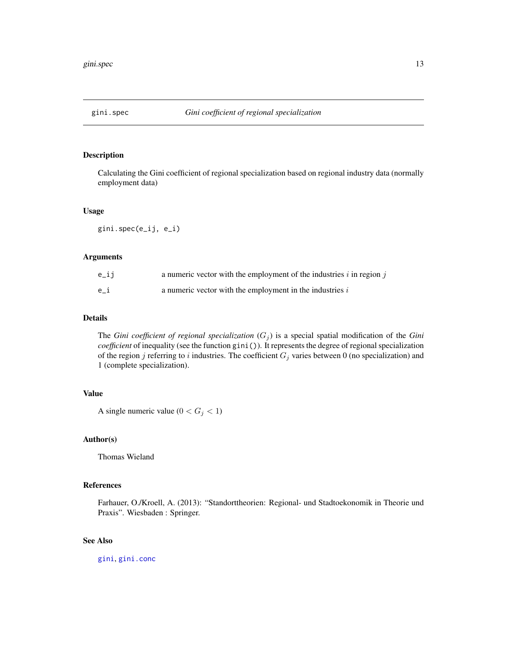<span id="page-12-1"></span><span id="page-12-0"></span>

Calculating the Gini coefficient of regional specialization based on regional industry data (normally employment data)

#### Usage

gini.spec(e\_ij, e\_i)

#### Arguments

| $e$ _ij | a numeric vector with the employment of the industries $i$ in region $j$ |
|---------|--------------------------------------------------------------------------|
| e i     | a numeric vector with the employment in the industries $i$               |

#### Details

The *Gini coefficient of regional specialization*  $(G_j)$  is a special spatial modification of the *Gini coefficient* of inequality (see the function gini()). It represents the degree of regional specialization of the region j referring to i industries. The coefficient  $G_j$  varies between 0 (no specialization) and 1 (complete specialization).

#### Value

A single numeric value ( $0 < G_j < 1$ )

#### Author(s)

Thomas Wieland

#### References

Farhauer, O./Kroell, A. (2013): "Standorttheorien: Regional- und Stadtoekonomik in Theorie und Praxis". Wiesbaden : Springer.

#### See Also

[gini](#page-9-1), [gini.conc](#page-10-1)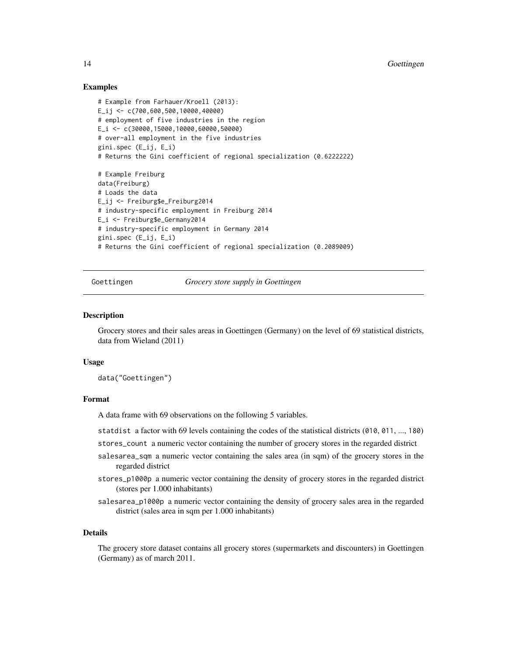#### Examples

```
# Example from Farhauer/Kroell (2013):
E_ij <- c(700,600,500,10000,40000)
# employment of five industries in the region
E_i <- c(30000,15000,10000,60000,50000)
# over-all employment in the five industries
gini.spec (E_ij, E_i)
# Returns the Gini coefficient of regional specialization (0.6222222)
# Example Freiburg
data(Freiburg)
# Loads the data
E_ij <- Freiburg$e_Freiburg2014
# industry-specific employment in Freiburg 2014
E_i <- Freiburg$e_Germany2014
# industry-specific employment in Germany 2014
gini.spec (E_ij, E_i)
# Returns the Gini coefficient of regional specialization (0.2089009)
```
Goettingen *Grocery store supply in Goettingen*

#### Description

Grocery stores and their sales areas in Goettingen (Germany) on the level of 69 statistical districts, data from Wieland (2011)

#### Usage

data("Goettingen")

#### Format

A data frame with 69 observations on the following 5 variables.

statdist a factor with 69 levels containing the codes of the statistical districts (010, 011, ..., 180)

- stores\_count a numeric vector containing the number of grocery stores in the regarded district
- salesarea\_sqm a numeric vector containing the sales area (in sqm) of the grocery stores in the regarded district
- stores\_p1000p a numeric vector containing the density of grocery stores in the regarded district (stores per 1.000 inhabitants)
- salesarea\_p1000p a numeric vector containing the density of grocery sales area in the regarded district (sales area in sqm per 1.000 inhabitants)

#### Details

The grocery store dataset contains all grocery stores (supermarkets and discounters) in Goettingen (Germany) as of march 2011.

<span id="page-13-0"></span>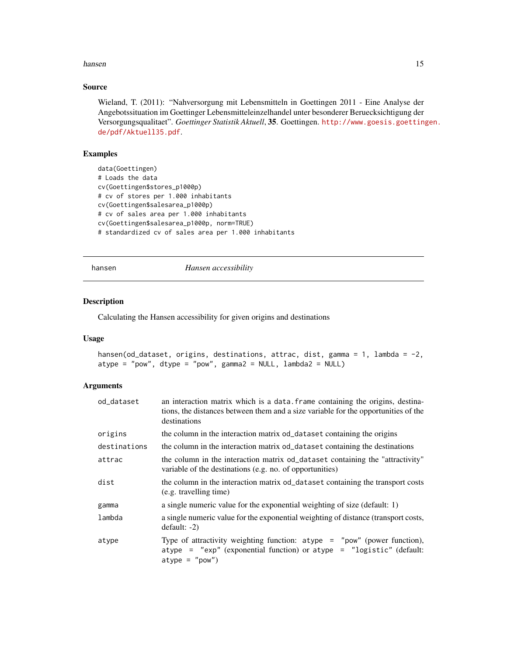#### <span id="page-14-0"></span>hansen and the set of the set of the set of the set of the set of the set of the set of the set of the set of the set of the set of the set of the set of the set of the set of the set of the set of the set of the set of th

#### Source

Wieland, T. (2011): "Nahversorgung mit Lebensmitteln in Goettingen 2011 - Eine Analyse der Angebotssituation im Goettinger Lebensmitteleinzelhandel unter besonderer Beruecksichtigung der Versorgungsqualitaet". *Goettinger Statistik Aktuell*, 35. Goettingen. [http://www.goesis.goettin](http://www.goesis.goettingen.de/pdf/Aktuell35.pdf)gen. [de/pdf/Aktuell35.pdf](http://www.goesis.goettingen.de/pdf/Aktuell35.pdf).

#### Examples

```
data(Goettingen)
# Loads the data
cv(Goettingen$stores_p1000p)
# cv of stores per 1.000 inhabitants
cv(Goettingen$salesarea_p1000p)
# cv of sales area per 1.000 inhabitants
cv(Goettingen$salesarea_p1000p, norm=TRUE)
# standardized cv of sales area per 1.000 inhabitants
```
hansen *Hansen accessibility*

#### Description

Calculating the Hansen accessibility for given origins and destinations

#### Usage

```
hansen(od_dataset, origins, destinations, attrac, dist, gamma = 1, lambda = -2,
atype = "pow", dtype = "pow", gamma2 = NULL, lambda2 = NULL)
```
#### Arguments

| od_dataset   | an interaction matrix which is a data. Frame containing the origins, destina-<br>tions, the distances between them and a size variable for the opportunities of the<br>destinations   |
|--------------|---------------------------------------------------------------------------------------------------------------------------------------------------------------------------------------|
| origins      | the column in the interaction matrix od_dataset containing the origins                                                                                                                |
| destinations | the column in the interaction matrix od_dataset containing the destinations                                                                                                           |
| attrac       | the column in the interaction matrix od_dataset containing the "attractivity"<br>variable of the destinations (e.g. no. of opportunities)                                             |
| dist         | the column in the interaction matrix od_dataset containing the transport costs<br>(e.g. travelling time)                                                                              |
| gamma        | a single numeric value for the exponential weighting of size (default: 1)                                                                                                             |
| lambda       | a single numeric value for the exponential weighting of distance (transport costs,<br>$default: -2)$                                                                                  |
| atype        | Type of attractivity weighting function: $a\text{type}$ = "pow" (power function),<br>atype = " $exp$ " (exponential function) or atype = " $logistic$ " (default:<br>$atype = "pow")$ |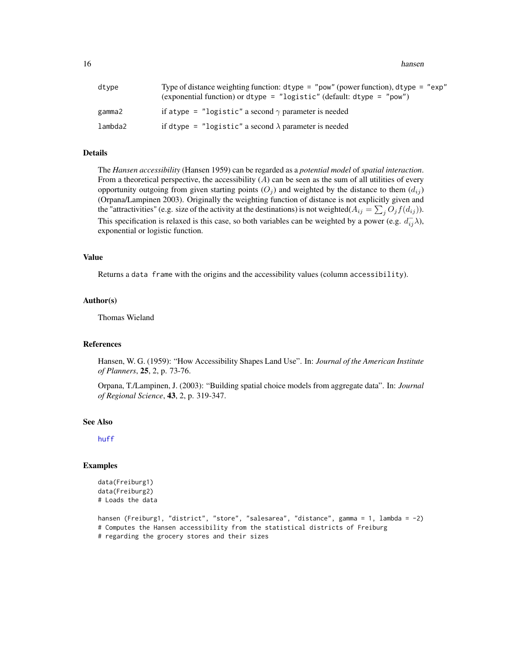<span id="page-15-0"></span>16 hansen

| dtype   | Type of distance weighting function: $\text{dtype} = \text{``pow''}$ (power function), $\text{dtype} = \text{``exp''}$<br>(exponential function) or dtype = "logistic" (default: dtype = "pow") |
|---------|-------------------------------------------------------------------------------------------------------------------------------------------------------------------------------------------------|
| gamma2  | if atype = "logistic" a second $\gamma$ parameter is needed                                                                                                                                     |
| lambda2 | if dtype = "logistic" a second $\lambda$ parameter is needed                                                                                                                                    |

#### Details

The *Hansen accessibility* (Hansen 1959) can be regarded as a *potential model* of *spatial interaction*. From a theoretical perspective, the accessibility  $(A)$  can be seen as the sum of all utilities of every opportunity outgoing from given starting points  $(O_i)$  and weighted by the distance to them  $(d_{ij})$ (Orpana/Lampinen 2003). Originally the weighting function of distance is not explicitly given and the "attractivities" (e.g. size of the activity at the destinations) is not weighted( $A_{ij} = \sum_j O_j f(d_{ij})$ ). This specification is relaxed is this case, so both variables can be weighted by a power (e.g.  $d_{ij}^-\lambda$ ), exponential or logistic function.

#### Value

Returns a data frame with the origins and the accessibility values (column accessibility).

#### Author(s)

Thomas Wieland

#### References

Hansen, W. G. (1959): "How Accessibility Shapes Land Use". In: *Journal of the American Institute of Planners*, 25, 2, p. 73-76.

Orpana, T./Lampinen, J. (2003): "Building spatial choice models from aggregate data". In: *Journal of Regional Science*, 43, 2, p. 319-347.

#### See Also

[huff](#page-18-1)

#### Examples

```
data(Freiburg1)
data(Freiburg2)
# Loads the data
```
hansen (Freiburg1, "district", "store", "salesarea", "distance", gamma = 1, lambda = -2) # Computes the Hansen accessibility from the statistical districts of Freiburg # regarding the grocery stores and their sizes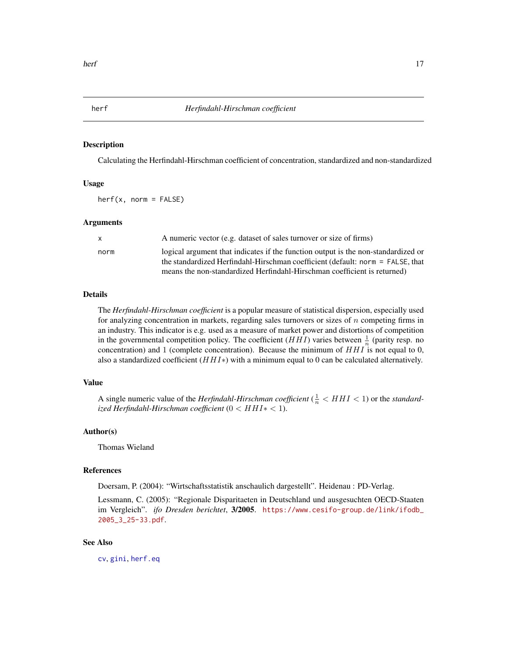<span id="page-16-1"></span><span id="page-16-0"></span>

Calculating the Herfindahl-Hirschman coefficient of concentration, standardized and non-standardized

#### Usage

 $herf(x, norm = FALSE)$ 

#### Arguments

| X    | A numeric vector (e.g. dataset of sales turnover or size of firms)                                                                                                  |
|------|---------------------------------------------------------------------------------------------------------------------------------------------------------------------|
| norm | logical argument that indicates if the function output is the non-standardized or<br>the standardized Herfindahl-Hirschman coefficient (default: norm = FALSE, that |
|      | means the non-standardized Herfindahl-Hirschman coefficient is returned)                                                                                            |

#### Details

The *Herfindahl-Hirschman coefficient* is a popular measure of statistical dispersion, especially used for analyzing concentration in markets, regarding sales turnovers or sizes of  $n$  competing firms in an industry. This indicator is e.g. used as a measure of market power and distortions of competition in the governmental competition policy. The coefficient  $(HHI)$  varies between  $\frac{1}{n}$  (parity resp. no concentration) and 1 (complete concentration). Because the minimum of  $HHI$  is not equal to 0, also a standardized coefficient  $(HHI*)$  with a minimum equal to 0 can be calculated alternatively.

#### Value

A single numeric value of the *Herfindahl-Hirschman coefficient* ( $\frac{1}{n}$  <  $HHI$  < 1) or the *standardized Herfindahl-Hirschman coefficient* (0 < HHI∗ < 1).

#### Author(s)

Thomas Wieland

#### References

Doersam, P. (2004): "Wirtschaftsstatistik anschaulich dargestellt". Heidenau : PD-Verlag.

Lessmann, C. (2005): "Regionale Disparitaeten in Deutschland und ausgesuchten OECD-Staaten im Vergleich". *ifo Dresden berichtet*, 3/2005. [https://www.cesifo-group.de/link/ifodb\\_](https://www.cesifo-group.de/link/ifodb_2005_3_25-33.pdf) [2005\\_3\\_25-33.pdf](https://www.cesifo-group.de/link/ifodb_2005_3_25-33.pdf).

#### See Also

[cv](#page-3-1), [gini](#page-9-1), [herf.eq](#page-17-1)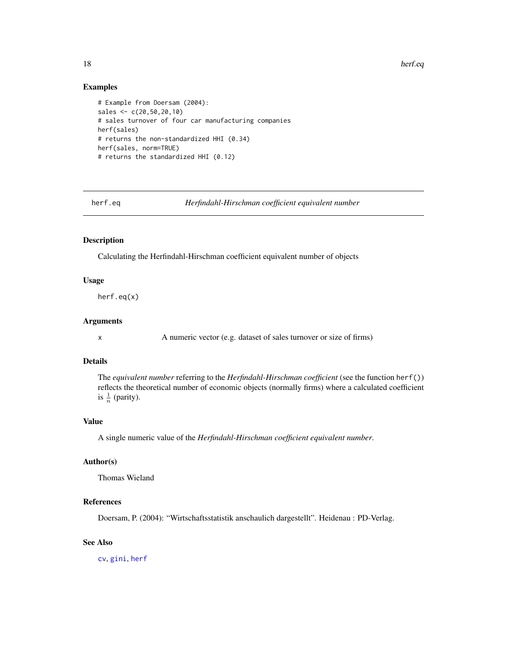18 herf.eq

#### Examples

```
# Example from Doersam (2004):
sales <- c(20,50,20,10)
# sales turnover of four car manufacturing companies
herf(sales)
# returns the non-standardized HHI (0.34)
herf(sales, norm=TRUE)
# returns the standardized HHI (0.12)
```
<span id="page-17-1"></span>

herf.eq *Herfindahl-Hirschman coefficient equivalent number*

#### Description

Calculating the Herfindahl-Hirschman coefficient equivalent number of objects

#### Usage

herf.eq(x)

#### Arguments

x A numeric vector (e.g. dataset of sales turnover or size of firms)

#### Details

The *equivalent number* referring to the *Herfindahl-Hirschman coefficient* (see the function herf()) reflects the theoretical number of economic objects (normally firms) where a calculated coefficient is  $\frac{1}{n}$  (parity).

#### Value

A single numeric value of the *Herfindahl-Hirschman coefficient equivalent number*.

#### Author(s)

Thomas Wieland

#### References

Doersam, P. (2004): "Wirtschaftsstatistik anschaulich dargestellt". Heidenau : PD-Verlag.

#### See Also

[cv](#page-3-1), [gini](#page-9-1), [herf](#page-16-1)

<span id="page-17-0"></span>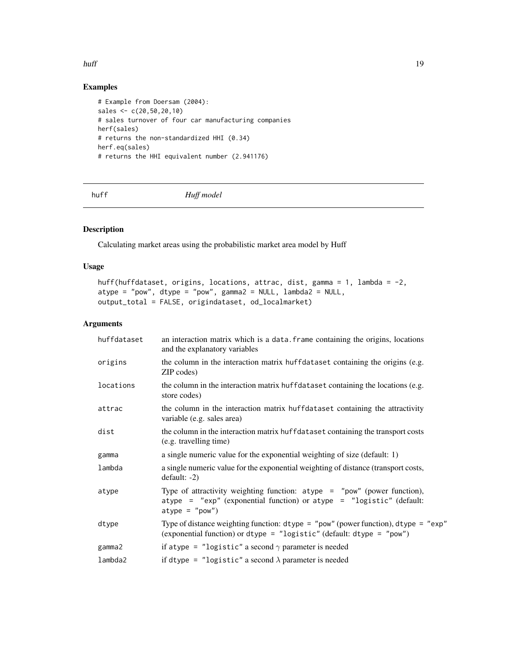#### <span id="page-18-0"></span>huff the contract of the contract of the contract of the contract of the contract of the contract of the contract of the contract of the contract of the contract of the contract of the contract of the contract of the contr

### Examples

```
# Example from Doersam (2004):
sales <- c(20,50,20,10)
# sales turnover of four car manufacturing companies
herf(sales)
# returns the non-standardized HHI (0.34)
herf.eq(sales)
# returns the HHI equivalent number (2.941176)
```
<span id="page-18-1"></span>

huff *Huff model*

#### Description

Calculating market areas using the probabilistic market area model by Huff

#### Usage

```
huff(huffdataset, origins, locations, attrac, dist, gamma = 1, lambda = -2,
\text{atype} = \text{"pow",}, \text{dtype} = \text{"pow",}, \text{gamma2} = \text{NULL}, \text{lambda2} = \text{NULL},output_total = FALSE, origindataset, od_localmarket)
```
#### Arguments

| huffdataset | an interaction matrix which is a data. Frame containing the origins, locations<br>and the explanatory variables                                                                                 |
|-------------|-------------------------------------------------------------------------------------------------------------------------------------------------------------------------------------------------|
| origins     | the column in the interaction matrix huffdataset containing the origins (e.g.<br>ZIP codes)                                                                                                     |
| locations   | the column in the interaction matrix huffdataset containing the locations (e.g.<br>store codes)                                                                                                 |
| attrac      | the column in the interaction matrix huffdataset containing the attractivity<br>variable (e.g. sales area)                                                                                      |
| dist        | the column in the interaction matrix huffdataset containing the transport costs<br>(e.g. travelling time)                                                                                       |
| gamma       | a single numeric value for the exponential weighting of size (default: 1)                                                                                                                       |
| lambda      | a single numeric value for the exponential weighting of distance (transport costs,<br>$default: -2)$                                                                                            |
| atype       | Type of attractivity weighting function: $\text{atype} = \text{"pow" (power function)}$ ,<br>atype = "exp" (exponential function) or atype = "logistic" (default:<br>$atype = "pow")$           |
| dtype       | Type of distance weighting function: $\text{dtype} = \text{``pow''}$ (power function), $\text{dtype} = \text{``exp''}$<br>(exponential function) or dtype = "logistic" (default: dtype = "pow") |
| gamma2      | if atype = "logistic" a second $\gamma$ parameter is needed                                                                                                                                     |
| lambda2     | if dtype = "logistic" a second $\lambda$ parameter is needed                                                                                                                                    |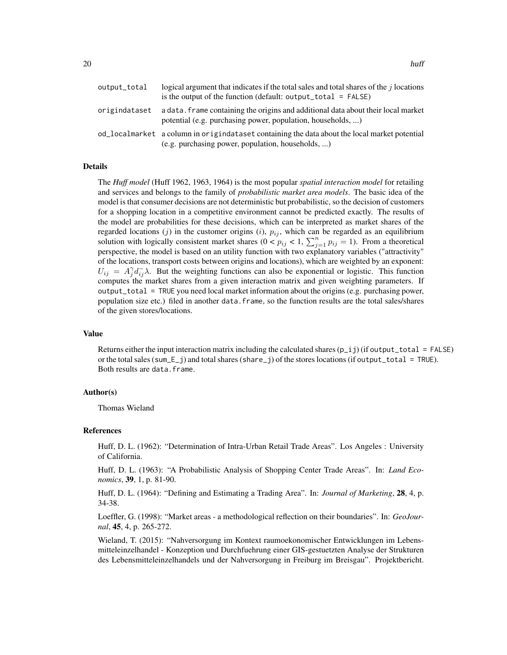| output_total  | logical argument that indicates if the total sales and total shares of the $j$ locations<br>is the output of the function (default: output_total = $FALSE)$ ) |
|---------------|---------------------------------------------------------------------------------------------------------------------------------------------------------------|
| origindataset | a data, frame containing the origins and additional data about their local market<br>potential (e.g. purchasing power, population, households, )              |
|               | od_localmarket a column in origindataset containing the data about the local market potential<br>(e.g. purchasing power, population, households, )            |

#### Details

The *Huff model* (Huff 1962, 1963, 1964) is the most popular *spatial interaction model* for retailing and services and belongs to the family of *probabilistic market area models*. The basic idea of the model is that consumer decisions are not deterministic but probabilistic, so the decision of customers for a shopping location in a competitive environment cannot be predicted exactly. The results of the model are probabilities for these decisions, which can be interpreted as market shares of the regarded locations (j) in the customer origins (i),  $p_{ij}$ , which can be regarded as an equilibrium solution with logically consistent market shares  $(0 < p_{ij} < 1, \sum_{j=1}^{n} p_{ij} = 1)$ . From a theoretical perspective, the model is based on an utility function with two explanatory variables ("attractivity" of the locations, transport costs between origins and locations), which are weighted by an exponent:  $U_{ij} = A_j^{\gamma} d_{ij}^{\gamma} \lambda$ . But the weighting functions can also be exponential or logistic. This function computes the market shares from a given interaction matrix and given weighting parameters. If output\_total = TRUE you need local market information about the origins (e.g. purchasing power, population size etc.) filed in another data.frame, so the function results are the total sales/shares of the given stores/locations.

#### Value

Returns either the input interaction matrix including the calculated shares  $(p_i|j)$  (if output\_total = FALSE) or the total sales (sum\_E\_j) and total shares (share\_j) of the stores locations (if output\_total = TRUE). Both results are data.frame.

#### Author(s)

Thomas Wieland

#### References

Huff, D. L. (1962): "Determination of Intra-Urban Retail Trade Areas". Los Angeles : University of California.

Huff, D. L. (1963): "A Probabilistic Analysis of Shopping Center Trade Areas". In: *Land Economics*, 39, 1, p. 81-90.

Huff, D. L. (1964): "Defining and Estimating a Trading Area". In: *Journal of Marketing*, 28, 4, p. 34-38.

Loeffler, G. (1998): "Market areas - a methodological reflection on their boundaries". In: *GeoJournal*, 45, 4, p. 265-272.

Wieland, T. (2015): "Nahversorgung im Kontext raumoekonomischer Entwicklungen im Lebensmitteleinzelhandel - Konzeption und Durchfuehrung einer GIS-gestuetzten Analyse der Strukturen des Lebensmitteleinzelhandels und der Nahversorgung in Freiburg im Breisgau". Projektbericht.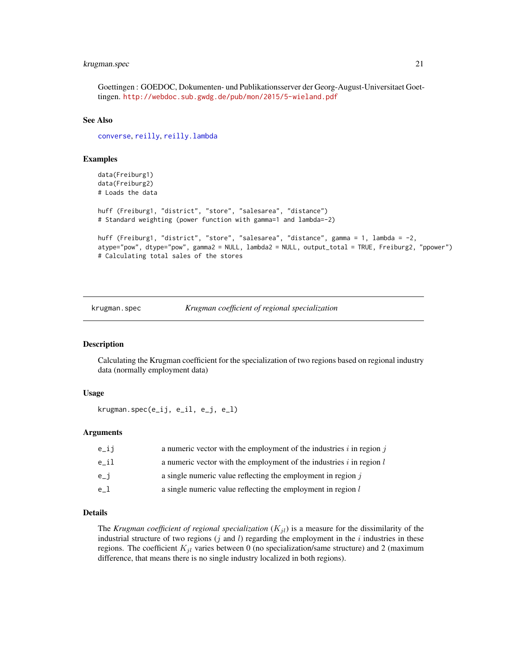#### <span id="page-20-0"></span>krugman.spec 21

Goettingen : GOEDOC, Dokumenten- und Publikationsserver der Georg-August-Universitaet Goettingen. <http://webdoc.sub.gwdg.de/pub/mon/2015/5-wieland.pdf>

#### See Also

[converse](#page-2-1), [reilly](#page-24-1), [reilly.lambda](#page-26-1)

#### Examples

```
data(Freiburg1)
data(Freiburg2)
# Loads the data
huff (Freiburg1, "district", "store", "salesarea", "distance")
# Standard weighting (power function with gamma=1 and lambda=-2)
huff (Freiburg1, "district", "store", "salesarea", "distance", gamma = 1, lambda = -2,
atype="pow", dtype="pow", gamma2 = NULL, lambda2 = NULL, output_total = TRUE, Freiburg2, "ppower")
# Calculating total sales of the stores
```
krugman.spec *Krugman coefficient of regional specialization*

#### Description

Calculating the Krugman coefficient for the specialization of two regions based on regional industry data (normally employment data)

#### Usage

krugman.spec(e\_ij, e\_il, e\_j, e\_l)

#### Arguments

| e_ij | a numeric vector with the employment of the industries $i$ in region $j$ |
|------|--------------------------------------------------------------------------|
| e il | a numeric vector with the employment of the industries $i$ in region $l$ |
| e_i  | a single numeric value reflecting the employment in region $j$           |
| e l  | a single numeric value reflecting the employment in region l             |

#### Details

The *Krugman coefficient of regional specialization*  $(K_{jl})$  is a measure for the dissimilarity of the industrial structure of two regions  $(j \text{ and } l)$  regarding the employment in the i industries in these regions. The coefficient  $K_{jl}$  varies between 0 (no specialization/same structure) and 2 (maximum difference, that means there is no single industry localized in both regions).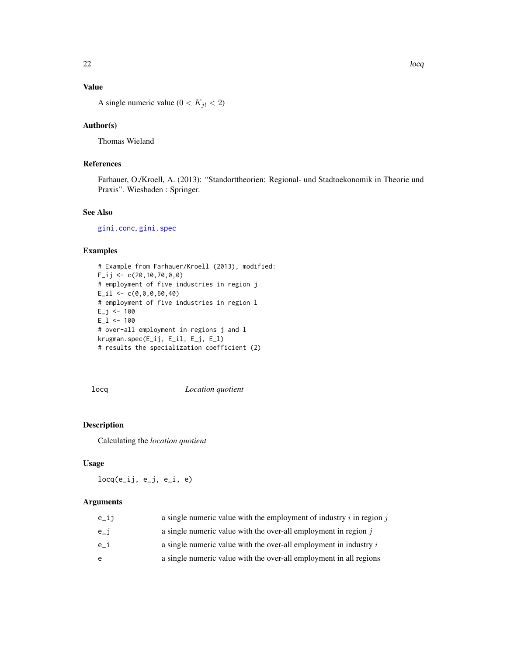#### Value

A single numeric value  $(0 < K_{jl} < 2)$ 

#### Author(s)

Thomas Wieland

### References

Farhauer, O./Kroell, A. (2013): "Standorttheorien: Regional- und Stadtoekonomik in Theorie und Praxis". Wiesbaden : Springer.

#### See Also

[gini.conc](#page-10-1), [gini.spec](#page-12-1)

#### Examples

```
# Example from Farhauer/Kroell (2013), modified:
E_{i,j} \leftarrow c(20,10,70,0,0)# employment of five industries in region j
E_i1 \leftarrow c(0, 0, 0, 60, 40)# employment of five industries in region l
E_j <- 100
E_l < -100# over-all employment in regions j and l
krugman.spec(E_ij, E_il, E_j, E_l)
# results the specialization coefficient (2)
```
#### locq *Location quotient*

#### Description

Calculating the *location quotient*

#### Usage

 $locq(e_i, e_j, e_i, e_i)$ 

#### Arguments

| e_ij | a single numeric value with the employment of industry $i$ in region $j$ |
|------|--------------------------------------------------------------------------|
| e_i  | a single numeric value with the over-all employment in region $j$        |
| e i  | a single numeric value with the over-all employment in industry $i$      |
| e    | a single numeric value with the over-all employment in all regions       |

<span id="page-21-0"></span>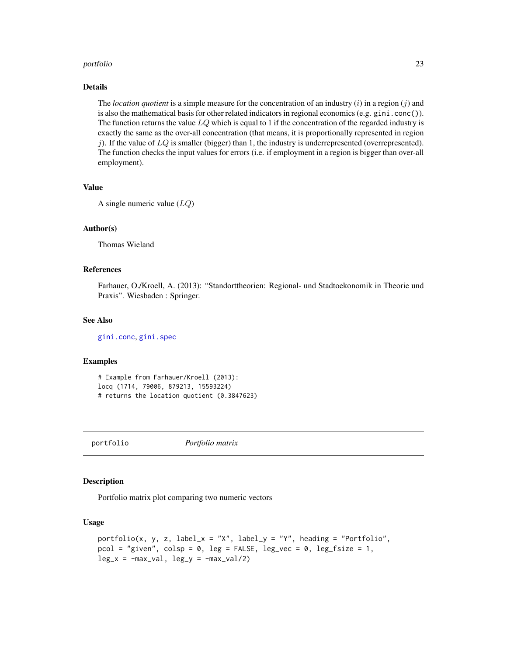#### <span id="page-22-0"></span>portfolio 23

#### Details

The *location quotient* is a simple measure for the concentration of an industry  $(i)$  in a region  $(j)$  and is also the mathematical basis for other related indicators in regional economics (e.g. gini.conc()). The function returns the value  $LQ$  which is equal to 1 if the concentration of the regarded industry is exactly the same as the over-all concentration (that means, it is proportionally represented in region j). If the value of  $LQ$  is smaller (bigger) than 1, the industry is underrepresented (overrepresented). The function checks the input values for errors (i.e. if employment in a region is bigger than over-all employment).

#### Value

```
A single numeric value (LQ)
```
#### Author(s)

Thomas Wieland

#### References

Farhauer, O./Kroell, A. (2013): "Standorttheorien: Regional- und Stadtoekonomik in Theorie und Praxis". Wiesbaden : Springer.

#### See Also

[gini.conc](#page-10-1), [gini.spec](#page-12-1)

#### Examples

# Example from Farhauer/Kroell (2013): locq (1714, 79006, 879213, 15593224) # returns the location quotient (0.3847623)

<span id="page-22-1"></span>portfolio *Portfolio matrix*

#### Description

Portfolio matrix plot comparing two numeric vectors

#### Usage

```
portfolio(x, y, z, label_x = "X", label_y = "Y", heading = "Portfolio",
pcol = "given", colsp = 0, leg = FALSE, leg\_vec = 0, leg\_fsize = 1,leg_x = -max_val, leg_y = -max_val/2)
```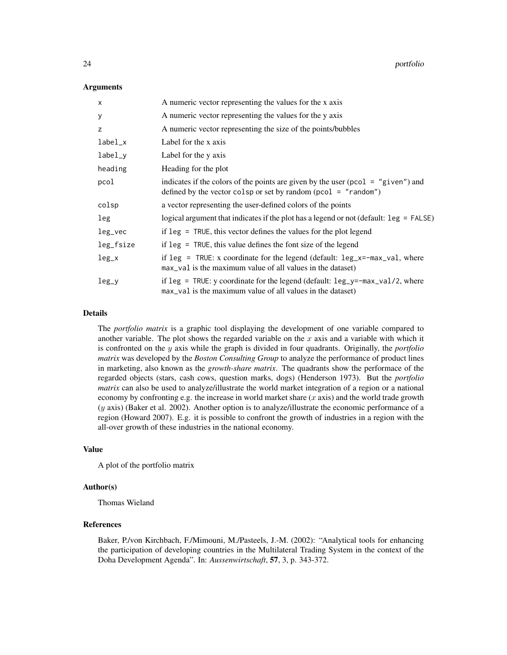#### Arguments

| $\mathsf{x}$ | A numeric vector representing the values for the x axis                                                                                                  |
|--------------|----------------------------------------------------------------------------------------------------------------------------------------------------------|
| У            | A numeric vector representing the values for the y axis                                                                                                  |
| z            | A numeric vector representing the size of the points/bubbles                                                                                             |
| label_x      | Label for the x axis                                                                                                                                     |
| label_y      | Label for the y axis                                                                                                                                     |
| heading      | Heading for the plot                                                                                                                                     |
| pcol         | indicates if the colors of the points are given by the user ( $pcol = "given")$ and<br>defined by the vector colsp or set by random ( $pcol = "random")$ |
| colsp        | a vector representing the user-defined colors of the points                                                                                              |
| leg          | logical argument that indicates if the plot has a legend or not (default: $leg = FALSE$ )                                                                |
| leg_vec      | if $leg = TRUE$ , this vector defines the values for the plot legend                                                                                     |
| leg_fsize    | if $leg = TRUE$ , this value defines the font size of the legend                                                                                         |
| $leg_x$      | if $leg = TRUE: x coordinate for the legend (default: leg_x=-max_val, where$<br>max_val is the maximum value of all values in the dataset)               |
| $leg_y$      | if $leg = TRUE$ : y coordinate for the legend (default: $leg_y = -max_y a1/2$ , where<br>max_val is the maximum value of all values in the dataset)      |

#### Details

The *portfolio matrix* is a graphic tool displaying the development of one variable compared to another variable. The plot shows the regarded variable on the  $x$  axis and a variable with which it is confronted on the y axis while the graph is divided in four quadrants. Originally, the *portfolio matrix* was developed by the *Boston Consulting Group* to analyze the performance of product lines in marketing, also known as the *growth-share matrix*. The quadrants show the performace of the regarded objects (stars, cash cows, question marks, dogs) (Henderson 1973). But the *portfolio matrix* can also be used to analyze/illustrate the world market integration of a region or a national economy by confronting e.g. the increase in world market share  $(x \text{ axis})$  and the world trade growth (y axis) (Baker et al. 2002). Another option is to analyze/illustrate the economic performance of a region (Howard 2007). E.g. it is possible to confront the growth of industries in a region with the all-over growth of these industries in the national economy.

#### Value

A plot of the portfolio matrix

#### Author(s)

Thomas Wieland

#### References

Baker, P./von Kirchbach, F./Mimouni, M./Pasteels, J.-M. (2002): "Analytical tools for enhancing the participation of developing countries in the Multilateral Trading System in the context of the Doha Development Agenda". In: *Aussenwirtschaft*, 57, 3, p. 343-372.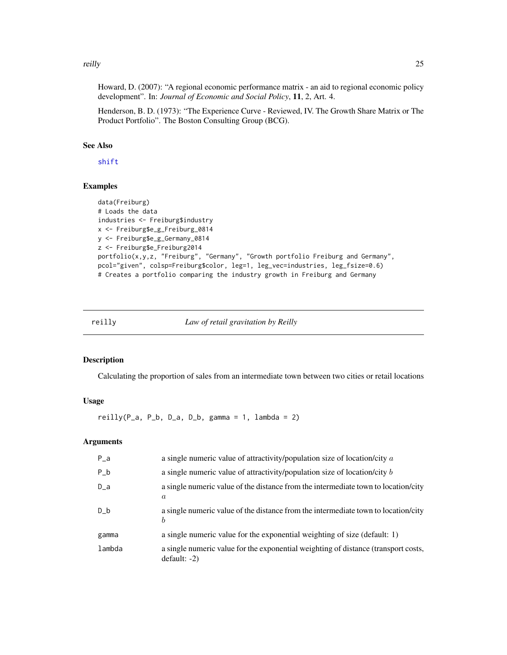#### <span id="page-24-0"></span>reilly the contract of the contract of the contract of the contract of the contract of the contract of the contract of the contract of the contract of the contract of the contract of the contract of the contract of the con

Howard, D. (2007): "A regional economic performance matrix - an aid to regional economic policy development". In: *Journal of Economic and Social Policy*, 11, 2, Art. 4.

Henderson, B. D. (1973): "The Experience Curve - Reviewed, IV. The Growth Share Matrix or The Product Portfolio". The Boston Consulting Group (BCG).

#### See Also

[shift](#page-27-1)

#### Examples

```
data(Freiburg)
# Loads the data
industries <- Freiburg$industry
x <- Freiburg$e_g_Freiburg_0814
y <- Freiburg$e_g_Germany_0814
z <- Freiburg$e_Freiburg2014
portfolio(x,y,z, "Freiburg", "Germany", "Growth portfolio Freiburg and Germany",
pcol="given", colsp=Freiburg$color, leg=1, leg_vec=industries, leg_fsize=0.6)
# Creates a portfolio comparing the industry growth in Freiburg and Germany
```
#### <span id="page-24-1"></span>reilly *Law of retail gravitation by Reilly*

#### Description

Calculating the proportion of sales from an intermediate town between two cities or retail locations

#### Usage

reilly(P\_a, P\_b, D\_a, D\_b, gamma = 1, lambda = 2)

#### Arguments

| $P_a$  | a single numeric value of attractivity/population size of location/city $a$                            |
|--------|--------------------------------------------------------------------------------------------------------|
| $P_b$  | a single numeric value of attractivity/population size of location/city $b$                            |
| $D_a$  | a single numeric value of the distance from the intermediate town to location/city<br>$\boldsymbol{a}$ |
| $D_b$  | a single numeric value of the distance from the intermediate town to location/city<br>b                |
| gamma  | a single numeric value for the exponential weighting of size (default: 1)                              |
| lambda | a single numeric value for the exponential weighting of distance (transport costs,<br>$default: -2)$   |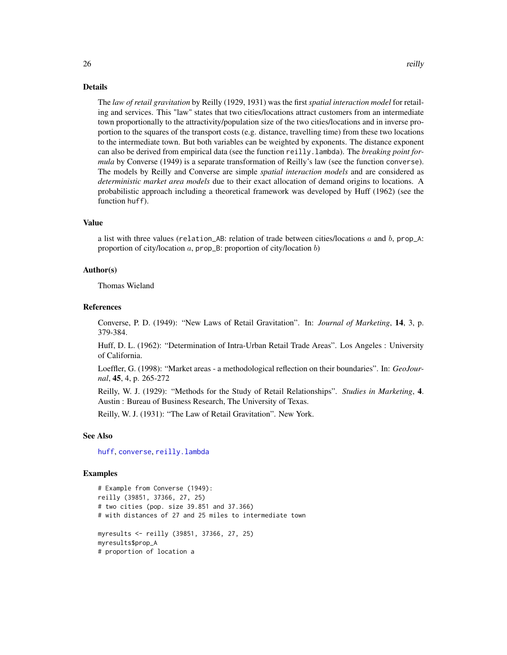<span id="page-25-0"></span>The *law of retail gravitation* by Reilly (1929, 1931) was the first *spatial interaction model* for retailing and services. This "law" states that two cities/locations attract customers from an intermediate town proportionally to the attractivity/population size of the two cities/locations and in inverse proportion to the squares of the transport costs (e.g. distance, travelling time) from these two locations to the intermediate town. But both variables can be weighted by exponents. The distance exponent can also be derived from empirical data (see the function reilly.lambda). The *breaking point formula* by Converse (1949) is a separate transformation of Reilly's law (see the function converse). The models by Reilly and Converse are simple *spatial interaction models* and are considered as *deterministic market area models* due to their exact allocation of demand origins to locations. A probabilistic approach including a theoretical framework was developed by Huff (1962) (see the function huff).

#### Value

a list with three values (relation\_AB: relation of trade between cities/locations  $a$  and  $b$ , prop\_A: proportion of city/location  $a$ , prop\_B: proportion of city/location  $b$ )

#### Author(s)

Thomas Wieland

#### References

Converse, P. D. (1949): "New Laws of Retail Gravitation". In: *Journal of Marketing*, 14, 3, p. 379-384.

Huff, D. L. (1962): "Determination of Intra-Urban Retail Trade Areas". Los Angeles : University of California.

Loeffler, G. (1998): "Market areas - a methodological reflection on their boundaries". In: *GeoJournal*, 45, 4, p. 265-272

Reilly, W. J. (1929): "Methods for the Study of Retail Relationships". *Studies in Marketing*, 4. Austin : Bureau of Business Research, The University of Texas.

Reilly, W. J. (1931): "The Law of Retail Gravitation". New York.

#### See Also

[huff](#page-18-1), [converse](#page-2-1), [reilly.lambda](#page-26-1)

```
# Example from Converse (1949):
reilly (39851, 37366, 27, 25)
# two cities (pop. size 39.851 and 37.366)
# with distances of 27 and 25 miles to intermediate town
myresults <- reilly (39851, 37366, 27, 25)
myresults$prop_A
# proportion of location a
```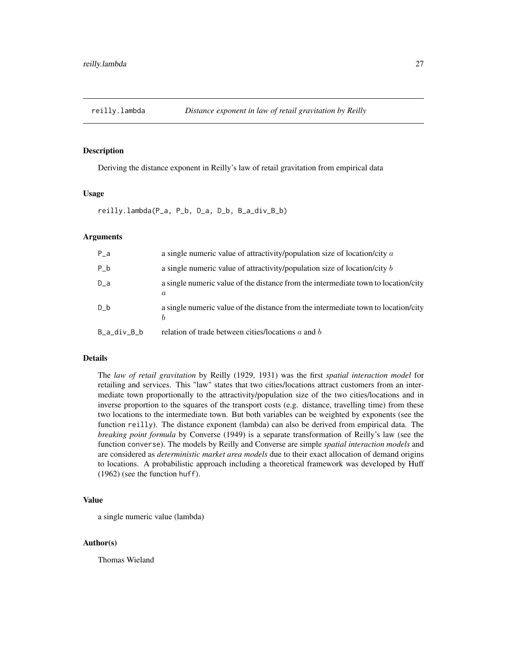<span id="page-26-1"></span><span id="page-26-0"></span>

Deriving the distance exponent in Reilly's law of retail gravitation from empirical data

#### Usage

reilly.lambda(P\_a, P\_b, D\_a, D\_b, B\_a\_div\_B\_b)

#### Arguments

| P a         | a single numeric value of attractivity/population size of location/city $a$                            |
|-------------|--------------------------------------------------------------------------------------------------------|
| P b         | a single numeric value of attractivity/population size of location/city $b$                            |
| $D_a$       | a single numeric value of the distance from the intermediate town to location/city<br>$\boldsymbol{a}$ |
| $D_b$       | a single numeric value of the distance from the intermediate town to location/city<br>h                |
| B_a_div_B_b | relation of trade between cities/locations $a$ and $b$                                                 |

#### Details

The *law of retail gravitation* by Reilly (1929, 1931) was the first *spatial interaction model* for retailing and services. This "law" states that two cities/locations attract customers from an intermediate town proportionally to the attractivity/population size of the two cities/locations and in inverse proportion to the squares of the transport costs (e.g. distance, travelling time) from these two locations to the intermediate town. But both variables can be weighted by exponents (see the function reilly). The distance exponent (lambda) can also be derived from empirical data. The *breaking point formula* by Converse (1949) is a separate transformation of Reilly's law (see the function converse). The models by Reilly and Converse are simple *spatial interaction models* and are considered as *deterministic market area models* due to their exact allocation of demand origins to locations. A probabilistic approach including a theoretical framework was developed by Huff (1962) (see the function huff).

#### Value

a single numeric value (lambda)

#### Author(s)

Thomas Wieland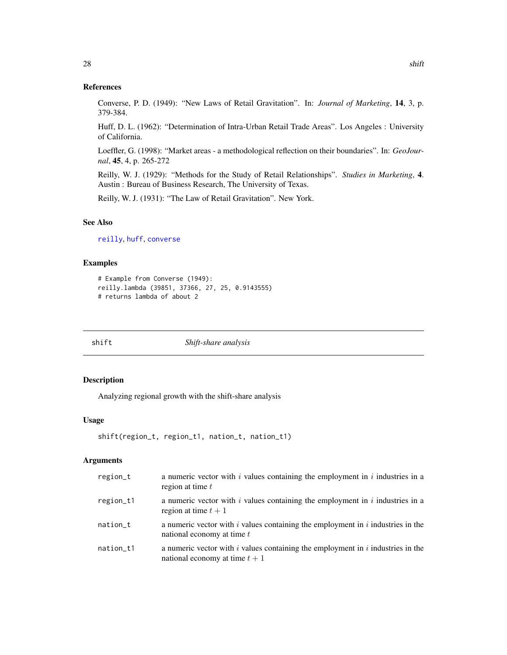Converse, P. D. (1949): "New Laws of Retail Gravitation". In: *Journal of Marketing*, 14, 3, p. 379-384.

Huff, D. L. (1962): "Determination of Intra-Urban Retail Trade Areas". Los Angeles : University of California.

Loeffler, G. (1998): "Market areas - a methodological reflection on their boundaries". In: *GeoJournal*, 45, 4, p. 265-272

Reilly, W. J. (1929): "Methods for the Study of Retail Relationships". *Studies in Marketing*, 4. Austin : Bureau of Business Research, The University of Texas.

Reilly, W. J. (1931): "The Law of Retail Gravitation". New York.

#### See Also

[reilly](#page-24-1), [huff](#page-18-1), [converse](#page-2-1)

#### Examples

```
# Example from Converse (1949):
reilly.lambda (39851, 37366, 27, 25, 0.9143555)
# returns lambda of about 2
```
<span id="page-27-1"></span>shift *Shift-share analysis*

#### Description

Analyzing regional growth with the shift-share analysis

#### Usage

```
shift(region_t, region_t1, nation_t, nation_t1)
```
#### Arguments

| region_t  | a numeric vector with $i$ values containing the employment in $i$ industries in a<br>region at time t                   |
|-----------|-------------------------------------------------------------------------------------------------------------------------|
| region_t1 | a numeric vector with $i$ values containing the employment in $i$ industries in a<br>region at time $t+1$               |
| nation_t  | a numeric vector with $i$ values containing the employment in $i$ industries in the<br>national economy at time t       |
| nation_t1 | a numeric vector with $i$ values containing the employment in $i$ industries in the<br>national economy at time $t + 1$ |

<span id="page-27-0"></span>28 shift and the state of the state of the state of the state of the state of the state of the state of the state of the state of the state of the state of the state of the state of the state of the state of the state of t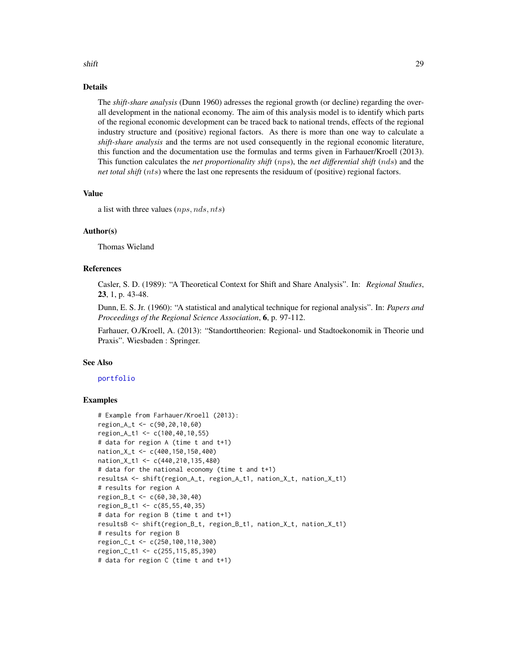## <span id="page-28-0"></span>shift 29

#### Details

The *shift-share analysis* (Dunn 1960) adresses the regional growth (or decline) regarding the overall development in the national economy. The aim of this analysis model is to identify which parts of the regional economic development can be traced back to national trends, effects of the regional industry structure and (positive) regional factors. As there is more than one way to calculate a *shift-share analysis* and the terms are not used consequently in the regional economic literature, this function and the documentation use the formulas and terms given in Farhauer/Kroell (2013). This function calculates the *net proportionality shift* (nps), the *net differential shift* (nds) and the *net total shift* (nts) where the last one represents the residuum of (positive) regional factors.

#### Value

a list with three values  $(nps, nds, nts)$ 

#### Author(s)

Thomas Wieland

#### References

Casler, S. D. (1989): "A Theoretical Context for Shift and Share Analysis". In: *Regional Studies*, 23, 1, p. 43-48.

Dunn, E. S. Jr. (1960): "A statistical and analytical technique for regional analysis". In: *Papers and Proceedings of the Regional Science Association*, 6, p. 97-112.

Farhauer, O./Kroell, A. (2013): "Standorttheorien: Regional- und Stadtoekonomik in Theorie und Praxis". Wiesbaden : Springer.

#### See Also

#### [portfolio](#page-22-1)

```
# Example from Farhauer/Kroell (2013):
region_A_t <- c(90,20,10,60)
region_A_t1 <- c(100,40,10,55)
# data for region A (time t and t+1)
nation_X_t <- c(400,150,150,400)
nation_X_t1 <- c(440,210,135,480)
# data for the national economy (time t and t+1)
resultsA <- shift(region_A_t, region_A_t1, nation_X_t, nation_X_t1)
# results for region A
region_B_t <- c(60,30,30,40)
region_B_t1 <- c(85,55,40,35)
# data for region B (time t and t+1)
resultsB <- shift(region_B_t, region_B_t1, nation_X_t, nation_X_t1)
# results for region B
region_C_t <- c(250,100,110,300)
region_C_t1 <- c(255,115,85,390)
# data for region C (time t and t+1)
```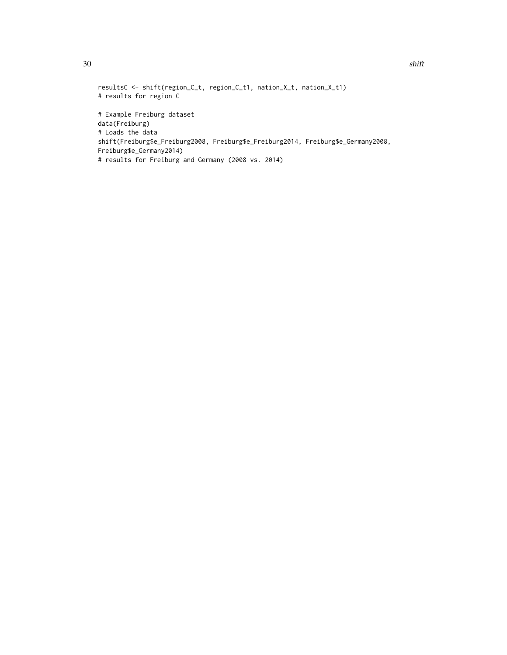30 shift

```
resultsC <- shift(region_C_t, region_C_t1, nation_X_t, nation_X_t1)
# results for region C
# Example Freiburg dataset
data(Freiburg)
# Loads the data
shift(Freiburg$e_Freiburg2008, Freiburg$e_Freiburg2014, Freiburg$e_Germany2008,
Freiburg$e_Germany2014)
# results for Freiburg and Germany (2008 vs. 2014)
```